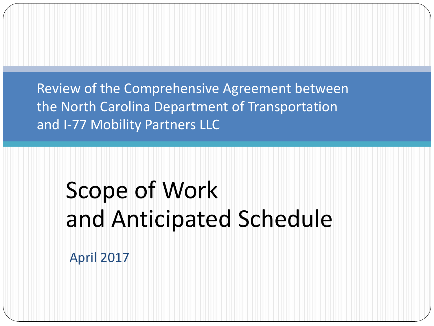Review of the Comprehensive Agreement between the North Carolina Department of Transportation and I-77 Mobility Partners LLC

# Scope of Work and Anticipated Schedule

April 2017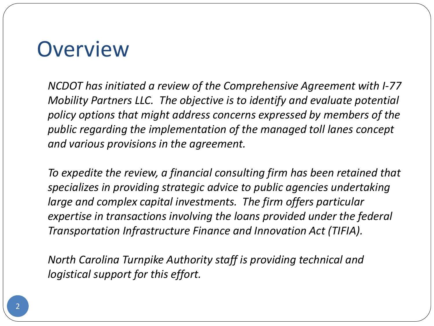#### **Overview**

*NCDOT has initiated a review of the Comprehensive Agreement with I-77 Mobility Partners LLC. The objective is to identify and evaluate potential policy options that might address concerns expressed by members of the public regarding the implementation of the managed toll lanes concept and various provisions in the agreement.* 

*To expedite the review, a financial consulting firm has been retained that specializes in providing strategic advice to public agencies undertaking*  large and complex capital investments. The firm offers particular *expertise in transactions involving the loans provided under the federal Transportation Infrastructure Finance and Innovation Act (TIFIA).* 

*North Carolina Turnpike Authority staff is providing technical and logistical support for this effort.*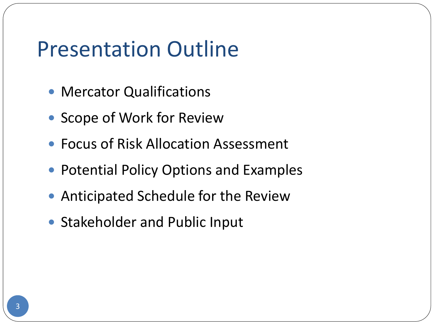#### Presentation Outline

- **Mercator Qualifications**
- Scope of Work for Review
- Focus of Risk Allocation Assessment
- Potential Policy Options and Examples
- Anticipated Schedule for the Review
- Stakeholder and Public Input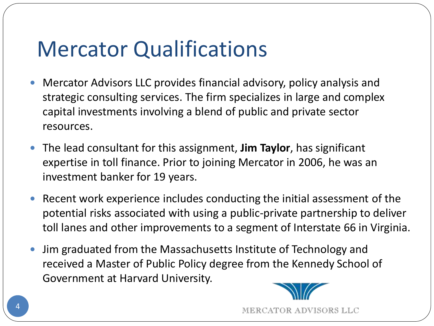### Mercator Qualifications

- Mercator Advisors LLC provides financial advisory, policy analysis and strategic consulting services. The firm specializes in large and complex capital investments involving a blend of public and private sector resources.
- The lead consultant for this assignment, **Jim Taylor**, has significant expertise in toll finance. Prior to joining Mercator in 2006, he was an investment banker for 19 years.
- Recent work experience includes conducting the initial assessment of the potential risks associated with using a public-private partnership to deliver toll lanes and other improvements to a segment of Interstate 66 in Virginia.
- Jim graduated from the Massachusetts Institute of Technology and received a Master of Public Policy degree from the Kennedy School of Government at Harvard University.



MERCATOR ADVISORS LLC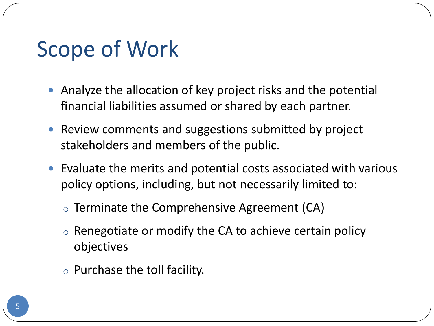#### Scope of Work

- Analyze the allocation of key project risks and the potential financial liabilities assumed or shared by each partner.
- Review comments and suggestions submitted by project stakeholders and members of the public.
- Evaluate the merits and potential costs associated with various policy options, including, but not necessarily limited to:
	- o Terminate the Comprehensive Agreement (CA)
	- $\circ$  Renegotiate or modify the CA to achieve certain policy objectives
	- $\circ$  Purchase the toll facility.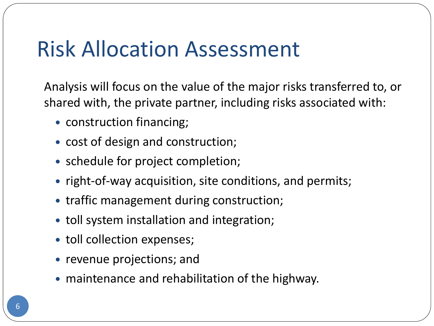### Risk Allocation Assessment

Analysis will focus on the value of the major risks transferred to, or shared with, the private partner, including risks associated with:

- construction financing;
- cost of design and construction;
- schedule for project completion;
- right-of-way acquisition, site conditions, and permits;
- traffic management during construction;
- toll system installation and integration;
- toll collection expenses;
- revenue projections; and
- maintenance and rehabilitation of the highway.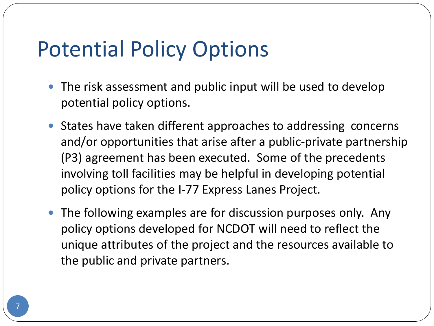### Potential Policy Options

- The risk assessment and public input will be used to develop potential policy options.
- States have taken different approaches to addressing concerns and/or opportunities that arise after a public-private partnership (P3) agreement has been executed. Some of the precedents involving toll facilities may be helpful in developing potential policy options for the I-77 Express Lanes Project.
- The following examples are for discussion purposes only. Any policy options developed for NCDOT will need to reflect the unique attributes of the project and the resources available to the public and private partners.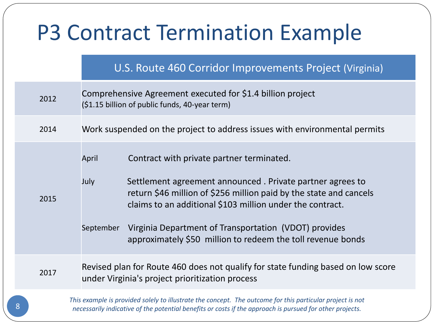## P3 Contract Termination Example

#### U.S. Route 460 Corridor Improvements Project (Virginia)

|   | 2012                                                                                                                                                                                                                  | Comprehensive Agreement executed for \$1.4 billion project<br>(\$1.15 billion of public funds, 40-year term) |                                                                                                                                                                                                                                                                                                                                                                   |  |
|---|-----------------------------------------------------------------------------------------------------------------------------------------------------------------------------------------------------------------------|--------------------------------------------------------------------------------------------------------------|-------------------------------------------------------------------------------------------------------------------------------------------------------------------------------------------------------------------------------------------------------------------------------------------------------------------------------------------------------------------|--|
|   | 2014                                                                                                                                                                                                                  | Work suspended on the project to address issues with environmental permits                                   |                                                                                                                                                                                                                                                                                                                                                                   |  |
|   | 2015                                                                                                                                                                                                                  | April<br>July<br>September                                                                                   | Contract with private partner terminated.<br>Settlement agreement announced. Private partner agrees to<br>return \$46 million of \$256 million paid by the state and cancels<br>claims to an additional \$103 million under the contract.<br>Virginia Department of Transportation (VDOT) provides<br>approximately \$50 million to redeem the toll revenue bonds |  |
|   | 2017                                                                                                                                                                                                                  |                                                                                                              | Revised plan for Route 460 does not qualify for state funding based on low score<br>under Virginia's project prioritization process                                                                                                                                                                                                                               |  |
| 8 | This example is provided solely to illustrate the concept. The outcome for this particular project is not<br>necessarily indicative of the potential benefits or costs if the approach is pursued for other projects. |                                                                                                              |                                                                                                                                                                                                                                                                                                                                                                   |  |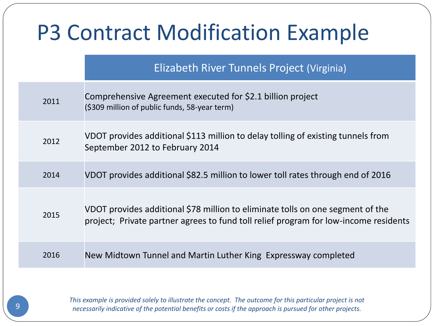#### P3 Contract Modification Example Elizabeth River Tunnels Project (Virginia) 2011 Comprehensive Agreement executed for \$2.1 billion project (\$309 million of public funds, 58-year term) 2012 VDOT provides additional \$113 million to delay tolling of existing tunnels from September 2012 to February 2014 2014 VDOT provides additional \$82.5 million to lower toll rates through end of 2016 2015 VDOT provides additional \$78 million to eliminate tolls on one segment of the project; Private partner agrees to fund toll relief program for low-income residents 2016 New Midtown Tunnel and Martin Luther King Expressway completed

*This example is provided solely to illustrate the concept. The outcome for this particular project is not necessarily indicative of the potential benefits or costs if the approach is pursued for other projects.*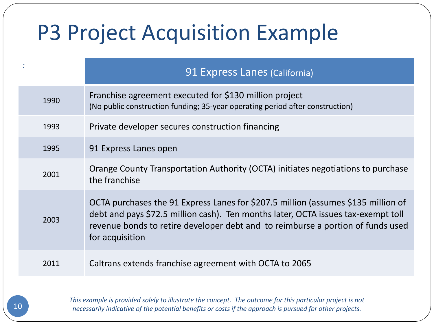## P3 Project Acquisition Example

|      | 91 Express Lanes (California)                                                                                                                                                                                                                                                |
|------|------------------------------------------------------------------------------------------------------------------------------------------------------------------------------------------------------------------------------------------------------------------------------|
| 1990 | Franchise agreement executed for \$130 million project<br>(No public construction funding; 35-year operating period after construction)                                                                                                                                      |
| 1993 | Private developer secures construction financing                                                                                                                                                                                                                             |
| 1995 | 91 Express Lanes open                                                                                                                                                                                                                                                        |
| 2001 | Orange County Transportation Authority (OCTA) initiates negotiations to purchase<br>the franchise                                                                                                                                                                            |
| 2003 | OCTA purchases the 91 Express Lanes for \$207.5 million (assumes \$135 million of<br>debt and pays \$72.5 million cash). Ten months later, OCTA issues tax-exempt toll<br>revenue bonds to retire developer debt and to reimburse a portion of funds used<br>for acquisition |
| 2011 | Caltrans extends franchise agreement with OCTA to 2065                                                                                                                                                                                                                       |
|      |                                                                                                                                                                                                                                                                              |

*This example is provided solely to illustrate the concept. The outcome for this particular project is not necessarily indicative of the potential benefits or costs if the approach is pursued for other projects.*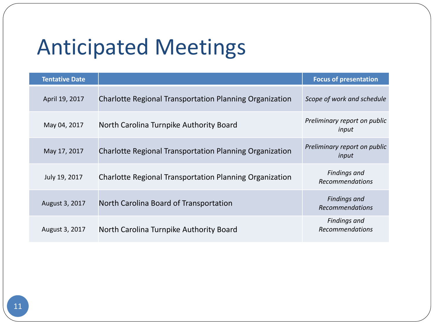## Anticipated Meetings

| <b>Tentative Date</b> |                                                                | <b>Focus of presentation</b>                  |
|-----------------------|----------------------------------------------------------------|-----------------------------------------------|
| April 19, 2017        | <b>Charlotte Regional Transportation Planning Organization</b> | Scope of work and schedule                    |
| May 04, 2017          | North Carolina Turnpike Authority Board                        | Preliminary report on public<br>input         |
| May 17, 2017          | <b>Charlotte Regional Transportation Planning Organization</b> | Preliminary report on public<br>input         |
| July 19, 2017         | <b>Charlotte Regional Transportation Planning Organization</b> | <b>Findings and</b><br><b>Recommendations</b> |
| August 3, 2017        | North Carolina Board of Transportation                         | <b>Findings and</b><br><b>Recommendations</b> |
| August 3, 2017        | North Carolina Turnpike Authority Board                        | <b>Findings and</b><br>Recommendations        |